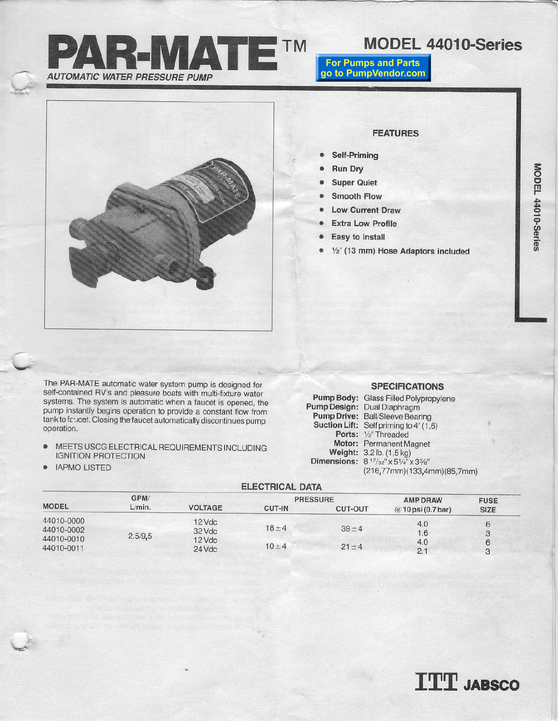

# **MODEL 44010-Series**

**For Pumps and Parts** go to PumpVendor.com



## **FEATURES**

- Self-Priming  $\bullet$
- . **Run Dry**
- **Super Quiet**  $\bullet$
- Smooth Flow  $\omega$
- **Low Current Draw**
- **Extra Low Profile**
- Easy to Install  $\bullet$
- 1/2" (13 mm) Hose Adaptors included  $\bullet$

The PAR-MATE automatic water system pump is designed for self-contained RV's and pleasure boats with multi-fixture water systems. The system is automatic when a faucet is opened, the pump instantly begins operation to provide a constant flow from tank to faucet. Closing the faucet automatically discontinues pump operation.

- MEETS USCG ELECTRICAL REQUIREMENTS INCLUDING  $\bullet$ **IGNITION PROTECTION**
- **IAPMO LISTED**  $\bullet$

## **SPECIFICATIONS**

| Pump Body:          | Glass Filled Polypropylene                                                                                        |
|---------------------|-------------------------------------------------------------------------------------------------------------------|
| <b>Pump Design:</b> | Dual Diaphragm                                                                                                    |
|                     | Pump Drive: Ball/Sleeve Bearing                                                                                   |
|                     | Suction Lift: Self priming to 4' (1,6)                                                                            |
|                     | Ports: 1/2" Threaded                                                                                              |
|                     | Motor: Permanent Magnet                                                                                           |
|                     | Weight: 3.2 lb. (1,5 kg)                                                                                          |
|                     | Dimensions: 8 <sup>17</sup> / <sub>32</sub> " x 5 <sup>1</sup> / <sub>4</sub> " x 3 <sup>3</sup> / <sub>8</sub> " |
|                     | (216,77mm)(133,4mm)(85,7mm)                                                                                       |

| <b>ELECTRICAL DATA</b>   |         |                  |                 |                |                     |                    |  |  |
|--------------------------|---------|------------------|-----------------|----------------|---------------------|--------------------|--|--|
|                          | GPM/    |                  | <b>PRESSURE</b> |                | <b>AMP DRAW</b>     | <b>FUSE</b>        |  |  |
| <b>MODEL</b>             | L/min.  | <b>VOLTAGE</b>   | CUT-IN          | <b>CUT-OUT</b> | $@10$ psi (0.7 bar) | <b>SIZE</b>        |  |  |
| 44010-0000<br>44010-0002 | 2.5/9.5 | 12 Vdc<br>32 Vdc | $18 + 4$        | $39 + 4$       | 4.0<br>1.6          |                    |  |  |
| 44010-0010<br>44010-0011 |         | 12 Vdc<br>24 Vdc | $10 + 4$        | $21 + 4$       | 4.0<br>2.1          | 6<br>$\mathcal{B}$ |  |  |

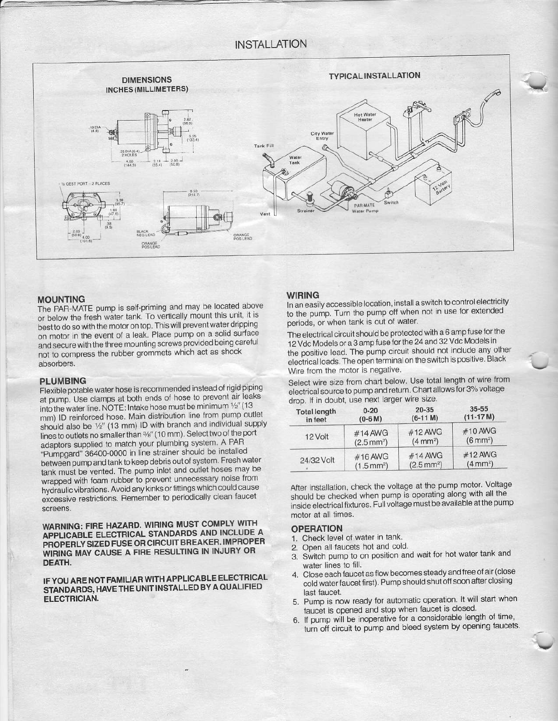#### **INSTALLATION**



## **MOUNTING**

The PAR-MATE pump is self-priming and may be located above or below the fresh water tank. To vertically mount this unit, it is best to do so with the motor on top. This will prevent water dripping on motor in the event of a leak. Place pump on a solid surface and secure with the three mounting screws provided being careful not to compress the rubber grommets which act as shock absorbers.

#### **PLUMBING**

Flexible potable water hose is recommended instead of rigid piping at pump. Use clamps at both ends of hose to prevent air leaks into the water line. NOTE: Intake hose must be minimum  $1/2''$  (13 mm) ID reinforced hose. Main distribution line from pump outlet should also be 1/2" (13 mm) ID with branch and individual supply lines to outlets no smaller than %" (10 mm). Select two of the port adaptors supplied to match your plumbing system. A PAR "Pumpgard" 36400-0000 in line strainer should be installed between pump and tank to keep debris out of system. Fresh water tank must be vented. The pump inlet and outlet hoses may be wrapped with foam rubber to prevent unnecessary noise from hydraulic vibrations. Avoid any kinks or fittings which could cause excessive restrictions. Remember to periodically clean faucet screens.

WARNING: FIRE HAZARD. WIRING MUST COMPLY WITH APPLICABLE ELECTRICAL STANDARDS AND INCLUDE A PROPERLY SIZED FUSE OR CIRCUIT BREAKER. IMPROPER WIRING MAY CAUSE A FIRE RESULTING IN INJURY OR DEATH.

IF YOU ARE NOT FAMILIAR WITH APPLICABLE ELECTRICAL STANDARDS, HAVE THE UNIT INSTALLED BY A QUALIFIED **ELECTRICIAN.** 

#### **WIRING**

In an easily accessible location, install a switch to control electricity to the pump. Turn the pump off when not in use for extended periods, or when tank is out of water.

The electrical circuit should be protected with a 6 amp fuse for the 12 Vdc Models or a 3 amp fuse for the 24 and 32 Vdc Models in the positive lead. The pump circuit should not include any other electrical loads. The open terminal on the switch is positive. Black Wire from the motor is negative.

Select wire size from chart below. Use total length of wire from electrical source to pump and return. Chart allows for 3% voltage drop. If in doubt, use next larger wire size.

| <b>Total length</b> | $0 - 20$             | $20 - 35$            | $35 - 55$          |
|---------------------|----------------------|----------------------|--------------------|
| in feet             | $(0-6 M)$            | $(6-11 M)$           | $(11-17M)$         |
| 12 Volt             | #14 AWG              | #12 AWG              | #10 AWG            |
|                     | $(2.5 \text{ mm}^2)$ | $(4 \text{ mm}^2)$   | $(6 \text{ mm}^2)$ |
| 24/32 Volt          | #16 AWG              | #14 AWG              | #12 AWG            |
|                     | $(1.5 \text{ mm}^2)$ | $(2.5 \text{ mm}^2)$ | $(4 \text{ mm}^2)$ |

After installation, check the voltage at the pump motor. Voltage should be checked when pump is operating along with all the inside electrical fixtures. Full voltage must be available at the pump motor at all times.

#### **OPERATION**

- 1. Check level of water in tank.
- 2. Open all faucets hot and cold.
- 3. Switch pump to on position and wait for hot water tank and water lines to fill.
- 4. Close each faucet as flow becomes steady and free of air (close cold water faucet first). Pump should shut off soon after closing last faucet.
- 5. Pump is now ready for automatic operation. It will start when faucet is opened and stop when faucet is closed.
- 6. If pump will be inoperative for a considerable length of time, turn off circuit to pump and bleed system by opening faucets.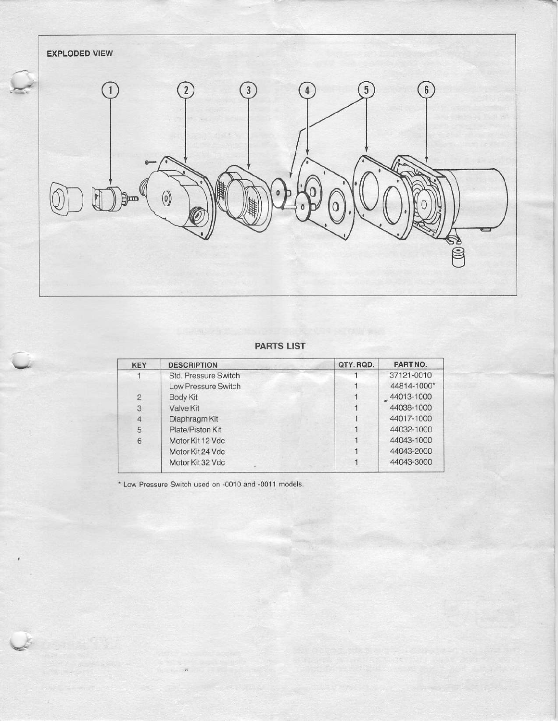

## **PARTS LIST**

| <b>KEY</b>     | <b>DESCRIPTION</b>         | QTY.RQD. | PART NO.    |
|----------------|----------------------------|----------|-------------|
|                | Std. Pressure Switch       |          | 37121-0010  |
|                | <b>Low Pressure Switch</b> |          | 44814-1000* |
| $\overline{2}$ | <b>Body Kit</b>            |          | 44013-1000  |
| 3              | Valve Kit                  |          | 44038-1000  |
| $\overline{4}$ | Diaphragm Kit              |          | 44017-1000  |
| 5              | Plate/Piston Kit           |          | 44032-1000  |
| 6              | Motor Kit 12 Vdc           |          | 44043-1000  |
|                | Motor Kit 24 Vdc           |          | 44043-2000  |
|                | Motor Kit 32 Vdc           |          | 44043-3000  |

\* Low Pressure Switch used on -0010 and -0011 models.

 $\epsilon$